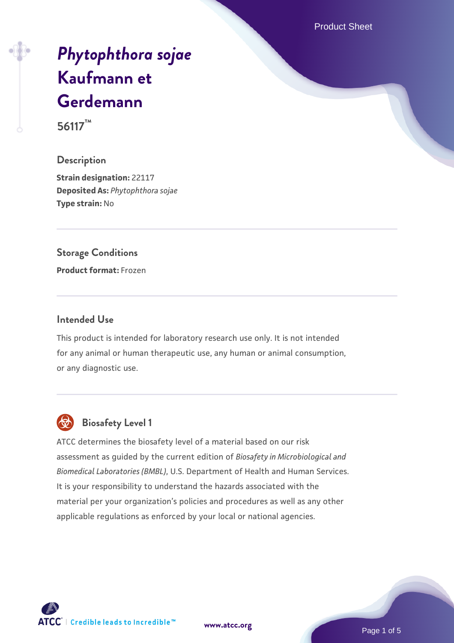Product Sheet

# *[Phytophthora sojae](https://www.atcc.org/products/56117)* **[Kaufmann et](https://www.atcc.org/products/56117) [Gerdemann](https://www.atcc.org/products/56117)**

**56117™**

#### **Description**

**Strain designation:** 22117 **Deposited As:** *Phytophthora sojae* **Type strain:** No

# **Storage Conditions**

**Product format:** Frozen

#### **Intended Use**

This product is intended for laboratory research use only. It is not intended for any animal or human therapeutic use, any human or animal consumption, or any diagnostic use.



# **Biosafety Level 1**

ATCC determines the biosafety level of a material based on our risk assessment as guided by the current edition of *Biosafety in Microbiological and Biomedical Laboratories (BMBL)*, U.S. Department of Health and Human Services. It is your responsibility to understand the hazards associated with the material per your organization's policies and procedures as well as any other applicable regulations as enforced by your local or national agencies.

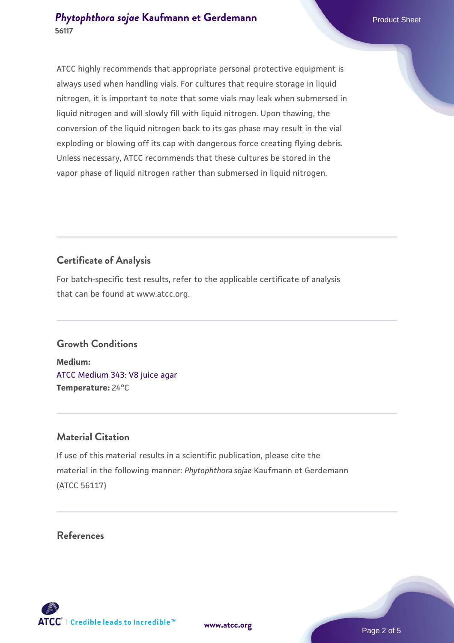### **[Phytophthora sojae](https://www.atcc.org/products/56117) [Kaufmann et Gerdemann](https://www.atcc.org/products/56117)** Product Sheet **56117**

ATCC highly recommends that appropriate personal protective equipment is always used when handling vials. For cultures that require storage in liquid nitrogen, it is important to note that some vials may leak when submersed in liquid nitrogen and will slowly fill with liquid nitrogen. Upon thawing, the conversion of the liquid nitrogen back to its gas phase may result in the vial exploding or blowing off its cap with dangerous force creating flying debris. Unless necessary, ATCC recommends that these cultures be stored in the vapor phase of liquid nitrogen rather than submersed in liquid nitrogen.

# **Certificate of Analysis**

For batch-specific test results, refer to the applicable certificate of analysis that can be found at www.atcc.org.

# **Growth Conditions**

**Medium:**  [ATCC Medium 343: V8 juice agar](https://www.atcc.org/-/media/product-assets/documents/microbial-media-formulations/3/4/3/atcc-medium-0343.pdf?rev=fbf48fa24e664932828269db1822ab12) **Temperature:** 24°C

# **Material Citation**

If use of this material results in a scientific publication, please cite the material in the following manner: *Phytophthora sojae* Kaufmann et Gerdemann (ATCC 56117)

## **References**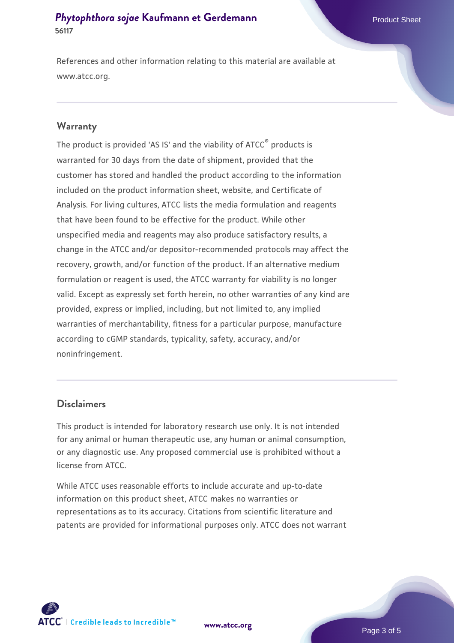## **[Phytophthora sojae](https://www.atcc.org/products/56117) [Kaufmann et Gerdemann](https://www.atcc.org/products/56117) 56117**

References and other information relating to this material are available at www.atcc.org.

#### **Warranty**

The product is provided 'AS IS' and the viability of ATCC® products is warranted for 30 days from the date of shipment, provided that the customer has stored and handled the product according to the information included on the product information sheet, website, and Certificate of Analysis. For living cultures, ATCC lists the media formulation and reagents that have been found to be effective for the product. While other unspecified media and reagents may also produce satisfactory results, a change in the ATCC and/or depositor-recommended protocols may affect the recovery, growth, and/or function of the product. If an alternative medium formulation or reagent is used, the ATCC warranty for viability is no longer valid. Except as expressly set forth herein, no other warranties of any kind are provided, express or implied, including, but not limited to, any implied warranties of merchantability, fitness for a particular purpose, manufacture according to cGMP standards, typicality, safety, accuracy, and/or noninfringement.

#### **Disclaimers**

This product is intended for laboratory research use only. It is not intended for any animal or human therapeutic use, any human or animal consumption, or any diagnostic use. Any proposed commercial use is prohibited without a license from ATCC.

While ATCC uses reasonable efforts to include accurate and up-to-date information on this product sheet, ATCC makes no warranties or representations as to its accuracy. Citations from scientific literature and patents are provided for informational purposes only. ATCC does not warrant





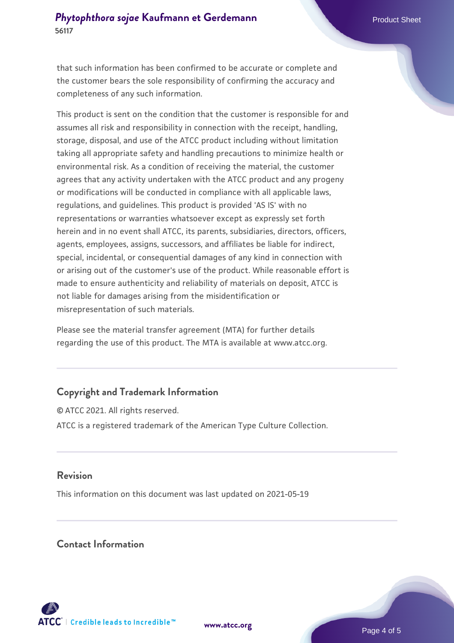that such information has been confirmed to be accurate or complete and the customer bears the sole responsibility of confirming the accuracy and completeness of any such information.

This product is sent on the condition that the customer is responsible for and assumes all risk and responsibility in connection with the receipt, handling, storage, disposal, and use of the ATCC product including without limitation taking all appropriate safety and handling precautions to minimize health or environmental risk. As a condition of receiving the material, the customer agrees that any activity undertaken with the ATCC product and any progeny or modifications will be conducted in compliance with all applicable laws, regulations, and guidelines. This product is provided 'AS IS' with no representations or warranties whatsoever except as expressly set forth herein and in no event shall ATCC, its parents, subsidiaries, directors, officers, agents, employees, assigns, successors, and affiliates be liable for indirect, special, incidental, or consequential damages of any kind in connection with or arising out of the customer's use of the product. While reasonable effort is made to ensure authenticity and reliability of materials on deposit, ATCC is not liable for damages arising from the misidentification or misrepresentation of such materials.

Please see the material transfer agreement (MTA) for further details regarding the use of this product. The MTA is available at www.atcc.org.

# **Copyright and Trademark Information**

© ATCC 2021. All rights reserved. ATCC is a registered trademark of the American Type Culture Collection.

### **Revision**

This information on this document was last updated on 2021-05-19

### **Contact Information**



**[www.atcc.org](http://www.atcc.org)**